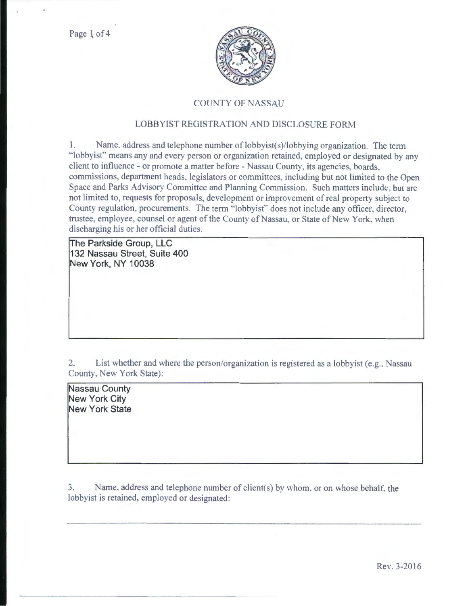

## COUNTY OF NASSAU

## LOBBYIST REGISTRATION AND DISCLOSURE FORM

l. Name. address and telephone number of lobbyist(s)/lobbying organization. The term ·'Iobbyisf' means any and every person or organization retained. employed or designated by any client to influence - or promote a matter before - Nassau County, its agencies, boards. commissions, department heads, legislators or committees, including but not limited to the Open Space and Parks Advisory Committee and Planning Commission. Such matters include, but are not limited to, requests for proposals, development or improvement of real property subject to County regulation, procurements. The term ''lobbyist" does not include any officer, director, trustee, employee, counsel or agent of the County of Nassau, or State of New York, when discharging his or her official duties.

**The Parkside Group, LLC 132 Nassau Street, Suite 400 New York, NY 10038** 

2. List whether and where the person/organization is registered as a lobbyist (e.g., Nassau County. New York State):

**Nassau County New York City New York State** 

3. Name, address and telephone number of client(s) by whom, or on whose behalf, the lobbyist is retained, employed or designated: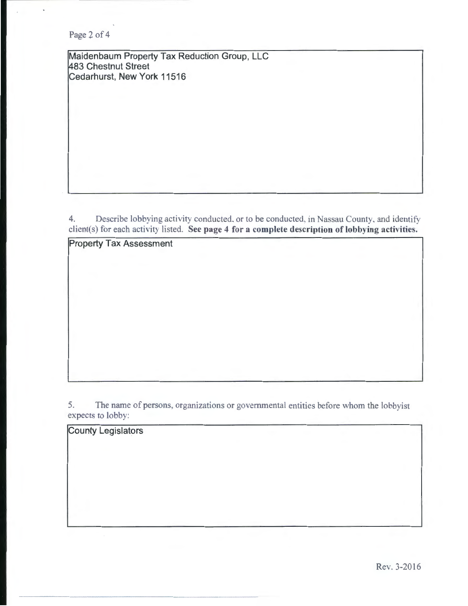Page 2 of 4

Maidenbaum Property Tax Reduction Group, LLC 483 Chestnut Street Cedarhurst, New York 11516

4. Describe lobbying activity conducted. or to be conducted, in Nassau County, and identify client(s) for each activity listed. See page 4 for a complete description of lobbying activities.

Property Tax Assessment

5. The name of persons, organizations or governmental entities before whom the lobbyist expects to lobby:

County Legislators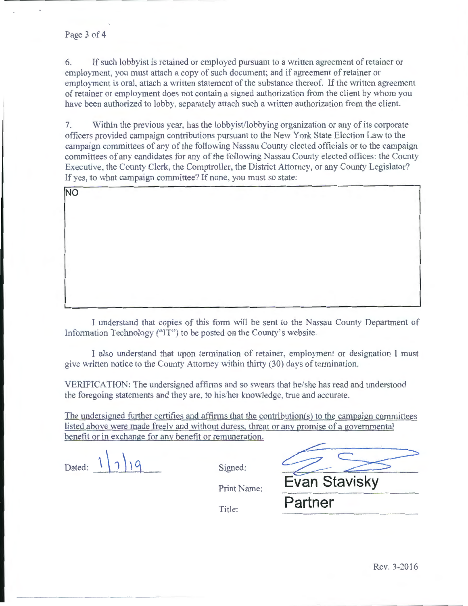NO

6. If such lobbyist is retained or employed pursuant to a written agreement of retainer or employment. you must attach a copy of such document; and if agreement of retainer or employment is oral, attach a written statement of the substance thereof. If the written agreement of retainer or employment does not contain a signed authorization from the client by whom you have been authorized to lobby. separately attach such a written authorization from the client.

7. Within the previous year, has the lobbyist/lobbying organization or any of its corporate officers provided campaign contributions pursuant to the New York State Election Law to the campaign committees of any of the following Nassau County elected officials or to the campaign committees of any candidates for any of the following Nassau County elected offices: the County Executive, the County Clerk, the Comptroller, the District Attorney, or any County Legislator? If yes, to what campaign committee? If none, you must so state:

I understand that copies of this form will be sent to the Nassau County Department of Information Technology ("'IT'') to be posted on the County's website.

I also understand that upon termination of retainer, employment or designation 1 must give written notice to the County Attorney within thirty (30) days of termination.

VERIFICATION: The undersigned affirms and so swears that he/she has read and understood the foregoing statements and they are, to his/her knowledge, true and accurate.

The undersigned further certifies and affirms that the contribution(s) to the campaign committees listed above were made freely and without dmess. threat or any promise of a governmental benefit or in exchange for any benefit or remuneration.

Dated:  $1 \nvert 2 \nvert 1 \nvert 4$  Signed:

Print Name:

Title:

| <b>Evan Stavisky</b> |
|----------------------|
| Partner              |